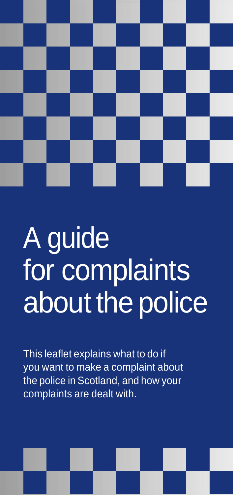

# A guide for complaints about the police

This leaflet explains what to do if you want to make a complaint about the police in Scotland, and how your complaints are dealt with.

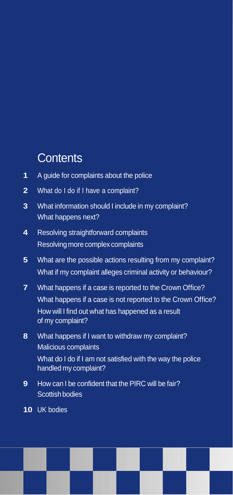# **Contents**

- **1** A guide for complaints about the police
- **2** What do I do if I have a complaint?
- **3** What information should I include in my complaint? What happens next?
- **4** Resolving straightforward complaints Resolving more complex complaints
- **5** What are the possible actions resulting from my complaint? What if my complaint alleges criminal activity or behaviour?
- **7** What happens if a case is reported to the Crown Office? What happens if a case is not reported to the Crown Office? How will I find out what has happened as a result of my complaint?
- **8** What happens if I want to withdraw my complaint? Malicious complaints

What do I do if I am not satisfied with the way the police handled my complaint?

- **9** How can I be confident that the PIRC will be fair? Scottish bodies
- **10** UK bodies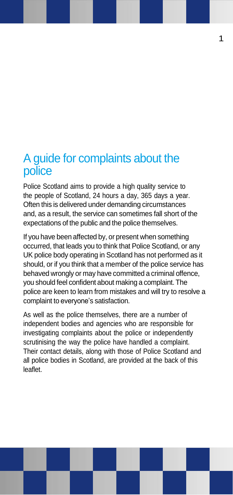## A guide for complaints about the police

Police Scotland aims to provide a high quality service to the people of Scotland, 24 hours a day, 365 days a year. Often this is delivered under demanding circumstances and, as a result, the service can sometimes fall short of the expectations of the public and the police themselves.

If you have been affected by, or present when something occurred, that leads you to think that Police Scotland, or any UK police body operating in Scotland has not performed as it should, or if you think that a member of the police service has behaved wrongly or may have committed a criminal offence, you should feel confident about making a complaint. The police are keen to learn from mistakes and will try to resolve a complaint to everyone's satisfaction.

As well as the police themselves, there are a number of independent bodies and agencies who are responsible for investigating complaints about the police or independently scrutinising the way the police have handled a complaint. Their contact details, along with those of Police Scotland and all police bodies in Scotland, are provided at the back of this leaflet.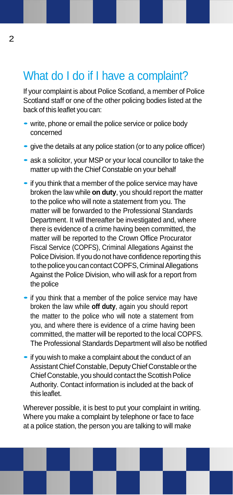# What do I do if I have a complaint?

If your complaint is about Police Scotland, a member of Police Scotland staff or one of the other policing bodies listed at the back of this leaflet you can:

- write, phone or email the police service or police body concerned
- give the details at any police station (or to any police officer)
- ask <sup>a</sup> solicitor, your MSP or your local councillor to take the matter up with the Chief Constable on your behalf
- if you think that a member of the police service may have broken the law while **on duty**, you should report the matter to the police who will note a statement from you. The matter will be forwarded to the Professional Standards Department. It will thereafter be investigated and, where there is evidence of a crime having been committed, the matter will be reported to the Crown Office Procurator Fiscal Service (COPFS), Criminal Allegations Against the Police Division. If you do not have confidence reporting this to the police you can contact COPFS, Criminal Allegations Against the Police Division, who will ask for a report from the police
- if you think that a member of the police service may have broken the law while **off duty**, again you should report the matter to the police who will note a statement from you, and where there is evidence of a crime having been committed, the matter will be reported to the local COPFS. The Professional Standards Department will also be notified
- if you wish to make a complaint about the conduct of an Assistant Chief Constable, DeputyChief Constable orthe Chief Constable, you should contact the Scottish Police Authority. Contact information is included at the back of this leaflet.

Wherever possible, it is best to put your complaint in writing. Where you make a complaint by telephone or face to face at a police station, the person you are talking to will make

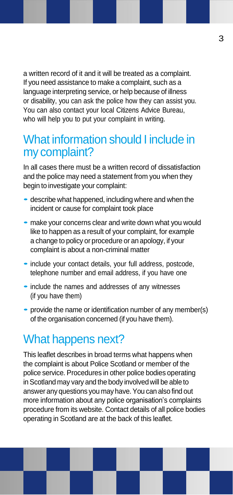a written record of it and it will be treated as a complaint. If you need assistance to make a complaint, such as a language interpreting service, or help because of illness or disability, you can ask the police how they can assist you. You can also contact your local Citizens Advice Bureau, who will help you to put your complaint in writing.

## What information should I include in my complaint?

In all cases there must be a written record of dissatisfaction and the police may need a statement from you when they begin to investigate your complaint:

- describe what happened, including where and when the incident or cause for complaint took place
- make your concerns clear and write down what you would like to happen as a result of your complaint, for example a change to policy or procedure or an apology, if your complaint is about a non-criminal matter
- •include your contact details, your full address, postcode, telephone number and email address, if you have one
- include the names and addresses of any witnesses (if you have them)
- provide the name or identification number of any member(s) of the organisation concerned (if you have them).

# What happens next?

This leaflet describes in broad terms what happens when the complaint is about Police Scotland or member of the police service. Procedures in other police bodies operating in Scotland may vary and the body involved will be able to answer any questions you may have.You can also find out more information about any police organisation's complaints procedure from its website. Contact details of all police bodies operating in Scotland are at the back of this leaflet.



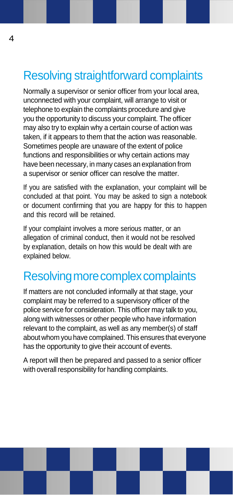# Resolving straightforward complaints

Normally a supervisor or senior officer from your local area, unconnected with your complaint, will arrange to visit or telephone to explain the complaints procedure and give you the opportunity to discuss your complaint. The officer may also try to explain why a certain course of action was taken, if it appears to them that the action was reasonable. Sometimes people are unaware of the extent of police functions and responsibilities or why certain actions may have been necessary, in many cases an explanation from a supervisor or senior officer can resolve the matter.

If you are satisfied with the explanation, your complaint will be concluded at that point. You may be asked to sign a notebook or document confirming that you are happy for this to happen and this record will be retained.

If your complaint involves a more serious matter, or an allegation of criminal conduct, then it would not be resolved by explanation, details on how this would be dealt with are explained below.

# Resolving more complex complaints

If matters are not concluded informally at that stage, your complaint may be referred to a supervisory officer of the police service for consideration. This officer may talk to you, along with witnesses or other people who have information relevant to the complaint, as well as any member(s) of staff about whom you have complained.This ensures that everyone has the opportunity to give their account of events.

A report will then be prepared and passed to a senior officer with overall responsibility for handling complaints.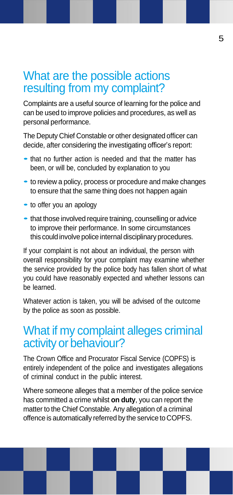## What are the possible actions resulting from my complaint?

Complaints are a useful source of learning for the police and can be used to improve policies and procedures, as well as personal performance.

The Deputy Chief Constable or other designated officer can decide, after considering the investigating officer's report:

- that no further action is needed and that the matter has been, or will be, concluded by explanation to you
- to review a policy, process or procedure and make changes to ensure that the same thing does not happen again
- to offer you an apology
- that those involved require training, counselling or advice to improve their performance. In some circumstances this could involve police internal disciplinary procedures.

If your complaint is not about an individual, the person with overall responsibility for your complaint may examine whether the service provided by the police body has fallen short of what you could have reasonably expected and whether lessons can be learned.

Whatever action is taken, you will be advised of the outcome by the police as soon as possible.

## What if my complaint alleges criminal activity or behaviour?

The Crown Office and Procurator Fiscal Service (COPFS) is entirely independent of the police and investigates allegations of criminal conduct in the public interest.

Where someone alleges that a member of the police service has committed a crime whilst **on duty**, you can report the matter to the Chief Constable. Any allegation of a criminal offence is automatically referred by the service to COPFS.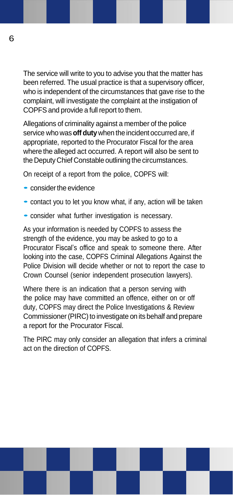The service will write to you to advise you that the matter has been referred. The usual practice is that a supervisory officer, who is independent of the circumstances that gave rise to the complaint, will investigate the complaint at the instigation of COPFS and provide a full report to them.

Allegations of criminality against a member of the police service who was**off duty** when the incident occurred are, if appropriate, reported to the Procurator Fiscal for the area where the alleged act occurred. A report will also be sent to the Deputy Chief Constable outlining the circumstances.

On receipt of a report from the police, COPFS will:

- consider the evidence
- contact you to let you know what, if any, action will be taken
- consider what further investigation is necessary.

As your information is needed by COPFS to assess the strength of the evidence, you may be asked to go to a Procurator Fiscal's office and speak to someone there. After looking into the case, COPFS Criminal Allegations Against the Police Division will decide whether or not to report the case to Crown Counsel (senior independent prosecution lawyers).

Where there is an indication that a person serving with the police may have committed an offence, either on or off duty, COPFS may direct the Police Investigations & Review Commissioner (PIRC) to investigate on its behalf and prepare a report for the Procurator Fiscal.

The PIRC may only consider an allegation that infers a criminal act on the direction of COPFS.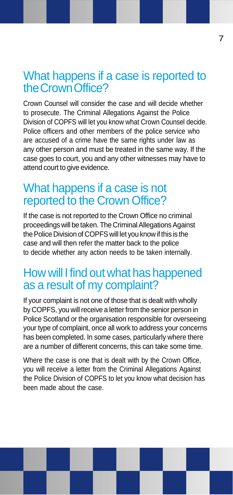## What happens if a case is reported to theCrownOffice?

Crown Counsel will consider the case and will decide whether to prosecute. The Criminal Allegations Against the Police Division of COPFS will let you know what Crown Counsel decide. Police officers and other members of the police service who are accused of a crime have the same rights under law as any other person and must be treated in the same way. If the case goes to court, you and any other witnesses may have to attend court to give evidence.

## What happens if a case is not reported to the Crown Office?

If the case is not reported to the Crown Office no criminal proceedings will be taken. The Criminal Allegations Against the Police Division of COPFS will let you know if this is the case and will then refer the matter back to the police to decide whether any action needs to be taken internally.

## How will I find out what has happened as a result of my complaint?

If your complaint is not one of those that is dealt with wholly by COPFS, you will receive a letter from the senior person in Police Scotland or the organisation responsible for overseeing your type of complaint, once all work to address your concerns has been completed. In some cases, particularly where there are a number of different concerns, this can take some time.

Where the case is one that is dealt with by the Crown Office, you will receive a letter from the Criminal Allegations Against the Police Division of COPFS to let you know what decision has been made about the case.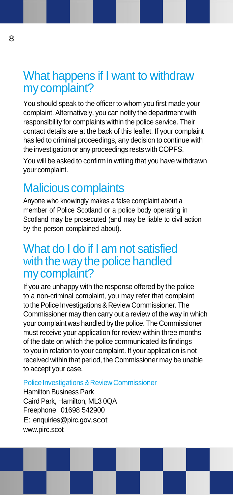# What happens if I want to withdraw my complaint?

You should speak to the officer to whom you first made your complaint. Alternatively, you can notify the department with responsibility for complaints within the police service. Their contact details are at the back of this leaflet. If your complaint has led to criminal proceedings, any decision to continue with the investigation or any proceedings restswith COPFS.

You will be asked to confirm in writing that you have withdrawn your complaint.

# Malicious complaints

Anyone who knowingly makes a false complaint about a member of Police Scotland or a police body operating in Scotland may be prosecuted (and may be liable to civil action by the person complained about).

### What do I do if I am not satisfied with the way the police handled my complaint?

If you are unhappy with the response offered by the police to a non-criminal complaint, you may refer that complaint to the Police Investigations & Review Commissioner. The Commissioner may then carry out a review of the way in which your complaint was handled by the police. The Commissioner must receive your application for review within three months of the date on which the police communicated its findings to you in relation to your complaint. If your application is not received within that period, the Commissioner may be unable to accept your case.

#### Police Investigations & Review Commissioner

Hamilton Business Park Caird Park, Hamilton, ML3 0QA Freephone 01698 542900 E[: enquiries@pirc.gov.](mailto:enquiries@pirc.gov)scot www.pirc.scot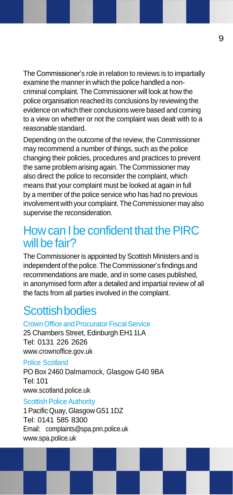The Commissioner's role in relation to reviews is to impartially examine the manner in which the police handled a noncriminal complaint. The Commissioner will look at how the police organisation reached its conclusions by reviewing the evidence on which their conclusions were based and coming to a view on whether or not the complaint was dealt with to a reasonable standard.

Depending on the outcome of the review, the Commissioner may recommend a number of things, such as the police changing their policies, procedures and practices to prevent the same problem arising again. The Commissioner may also direct the police to reconsider the complaint, which means that your complaint must be looked at again in full by a member of the police service who has had no previous involvement with your complaint. TheCommissioner mayalso supervise the reconsideration.

## How can I be confident that the PIRC will be fair?

The Commissioner is appointed by Scottish Ministers and is independent of the police. The Commissioner's findings and recommendations are made, and in some cases published, in anonymised form after a detailed and impartial review of all the facts from all parties involved in the complaint.

# **Scottishbodies**

Crown Office and Procurator Fiscal Service 25 Chambers Street, Edinburgh EH1 1LA Tel: 0131 226 2626 [www.crownoffice.gov.uk](http://www.crownoffice.gov.uk/)

Police Scotland PO Box 2460 Dalmarnock, Glasgow G40 9BA Tel:101 [www.scotland.police.uk](http://www.scotland.police.uk/) Scottish Police Authority

1PacificQuay, Glasgow G51 1DZ Tel: 0141 585 8300 Email: [complaints@spa.pnn.police.uk](mailto:complaints@spa.pnn.police.uk) [www.spa.police.uk](http://www.spa.police.uk/)